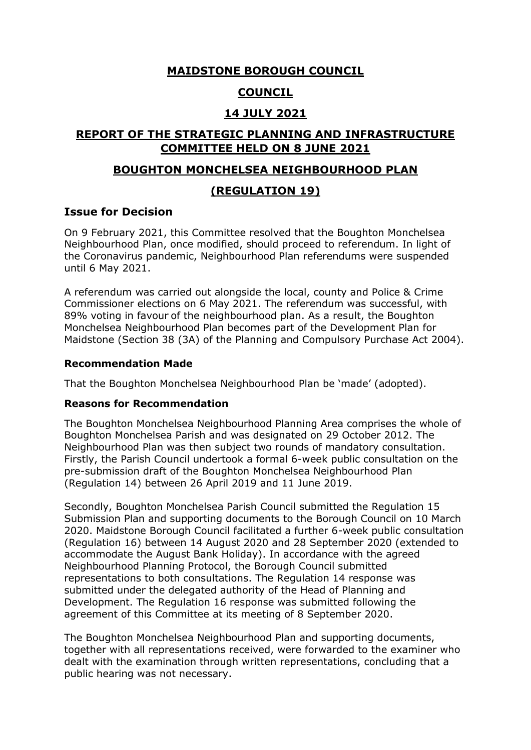## **MAIDSTONE BOROUGH COUNCIL**

# **COUNCIL**

# **14 JULY 2021**

# **REPORT OF THE STRATEGIC PLANNING AND INFRASTRUCTURE COMMITTEE HELD ON 8 JUNE 2021**

#### **BOUGHTON MONCHELSEA NEIGHBOURHOOD PLAN**

## **(REGULATION 19)**

## **Issue for Decision**

On 9 February 2021, this Committee resolved that the Boughton Monchelsea Neighbourhood Plan, once modified, should proceed to referendum. In light of the Coronavirus pandemic, Neighbourhood Plan referendums were suspended until 6 May 2021.

A referendum was carried out alongside the local, county and Police & Crime Commissioner elections on 6 May 2021. The referendum was successful, with 89% voting in favour of the neighbourhood plan. As a result, the Boughton Monchelsea Neighbourhood Plan becomes part of the Development Plan for Maidstone (Section 38 (3A) of the Planning and Compulsory Purchase Act 2004).

#### **Recommendation Made**

That the Boughton Monchelsea Neighbourhood Plan be 'made' (adopted).

#### **Reasons for Recommendation**

The Boughton Monchelsea Neighbourhood Planning Area comprises the whole of Boughton Monchelsea Parish and was designated on 29 October 2012. The Neighbourhood Plan was then subject two rounds of mandatory consultation. Firstly, the Parish Council undertook a formal 6-week public consultation on the pre-submission draft of the Boughton Monchelsea Neighbourhood Plan (Regulation 14) between 26 April 2019 and 11 June 2019.

Secondly, Boughton Monchelsea Parish Council submitted the Regulation 15 Submission Plan and supporting documents to the Borough Council on 10 March 2020. Maidstone Borough Council facilitated a further 6-week public consultation (Regulation 16) between 14 August 2020 and 28 September 2020 (extended to accommodate the August Bank Holiday). In accordance with the agreed Neighbourhood Planning Protocol, the Borough Council submitted representations to both consultations. The Regulation 14 response was submitted under the delegated authority of the Head of Planning and Development. The Regulation 16 response was submitted following the agreement of this Committee at its meeting of 8 September 2020.

The Boughton Monchelsea Neighbourhood Plan and supporting documents, together with all representations received, were forwarded to the examiner who dealt with the examination through written representations, concluding that a public hearing was not necessary.